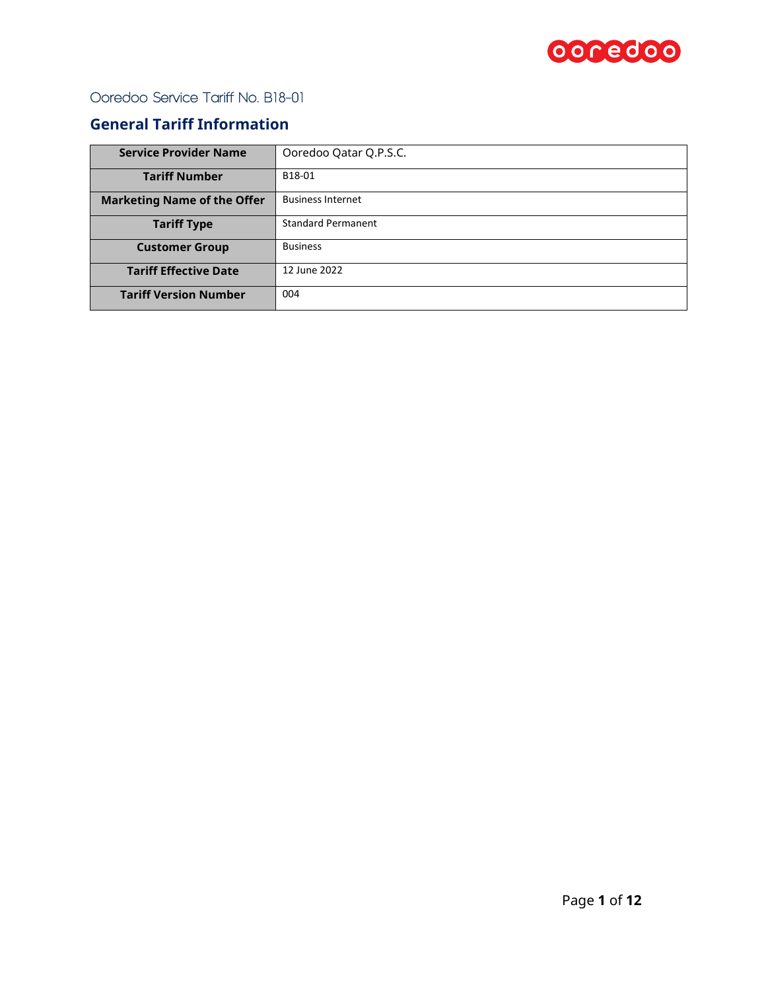

## **General Tariff Information**

| <b>Service Provider Name</b>       | Ooredoo Qatar Q.P.S.C.    |  |  |
|------------------------------------|---------------------------|--|--|
| <b>Tariff Number</b>               | B18-01                    |  |  |
| <b>Marketing Name of the Offer</b> | <b>Business Internet</b>  |  |  |
| <b>Tariff Type</b>                 | <b>Standard Permanent</b> |  |  |
| <b>Customer Group</b>              | <b>Business</b>           |  |  |
| <b>Tariff Effective Date</b>       | 12 June 2022              |  |  |
| <b>Tariff Version Number</b>       | 004                       |  |  |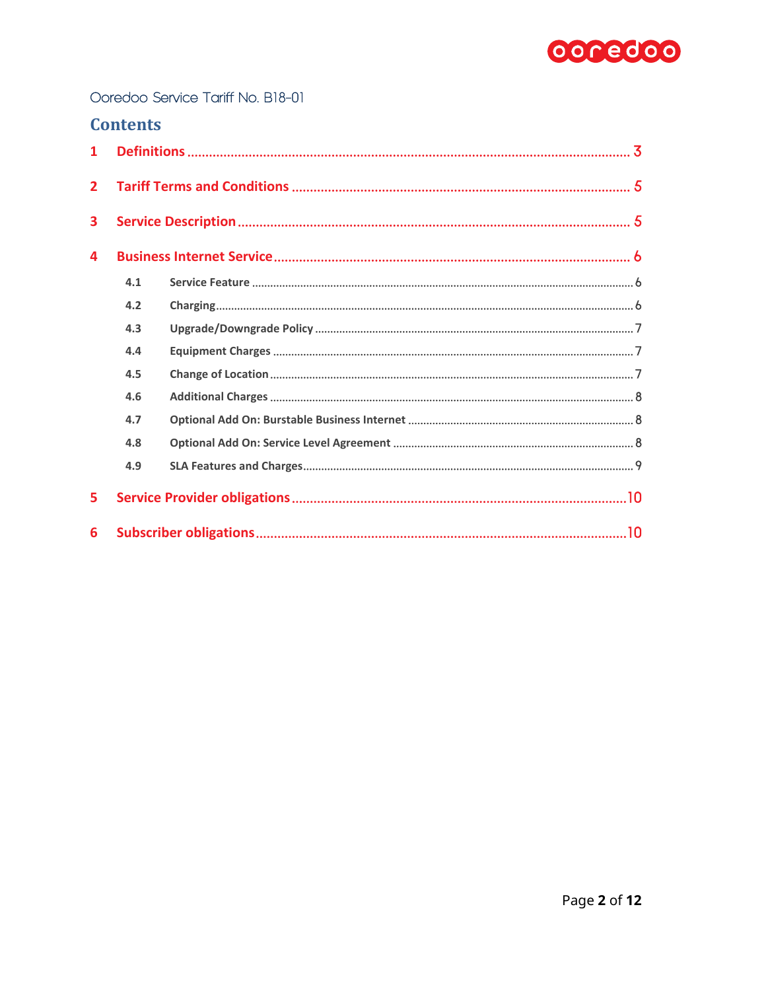

| <b>Contents</b> |
|-----------------|
|-----------------|

| $\mathbf{1}$   |     |  |
|----------------|-----|--|
| $\overline{2}$ |     |  |
| 3              |     |  |
| 4              |     |  |
|                | 4.1 |  |
|                | 4.2 |  |
|                | 4.3 |  |
|                | 4.4 |  |
|                | 4.5 |  |
|                | 4.6 |  |
|                | 4.7 |  |
|                | 4.8 |  |
|                | 4.9 |  |
| 5              |     |  |
| 6              |     |  |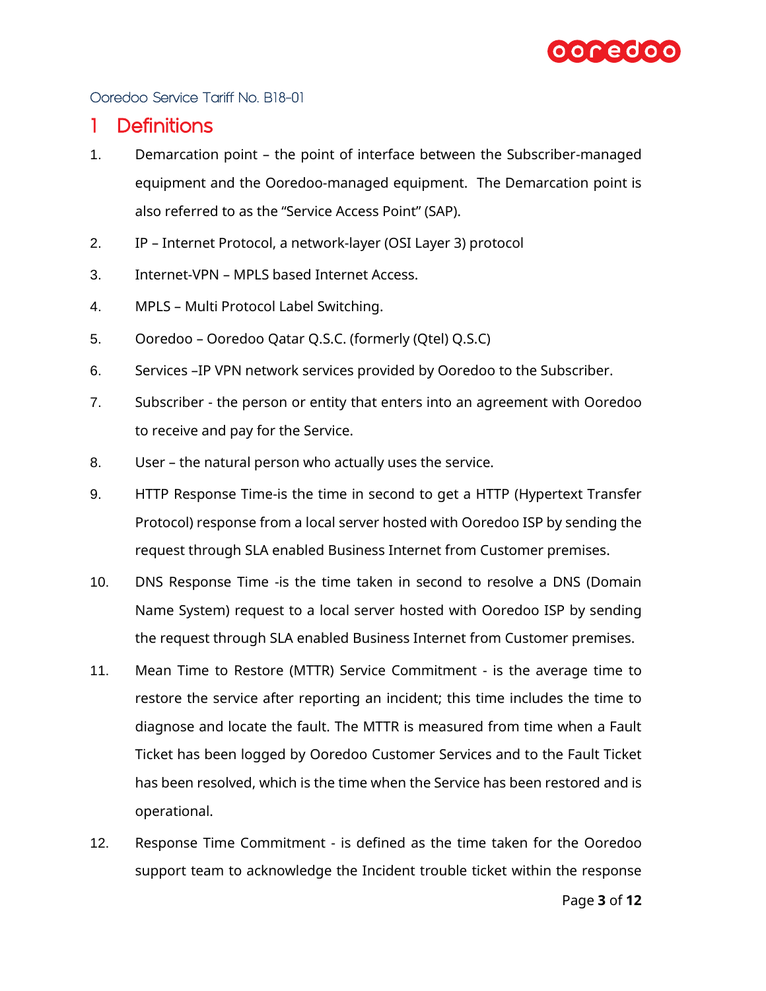

## <span id="page-2-0"></span>1 Definitions

- 1. Demarcation point the point of interface between the Subscriber-managed equipment and the Ooredoo-managed equipment. The Demarcation point is also referred to as the "Service Access Point" (SAP).
- 2. IP Internet Protocol, a network-layer (OSI Layer 3) protocol
- 3. Internet-VPN MPLS based Internet Access.
- 4. MPLS Multi Protocol Label Switching.
- 5. Ooredoo Ooredoo Qatar Q.S.C. (formerly (Qtel) Q.S.C)
- 6. Services –IP VPN network services provided by Ooredoo to the Subscriber.
- 7. Subscriber the person or entity that enters into an agreement with Ooredoo to receive and pay for the Service.
- 8. User the natural person who actually uses the service.
- 9. HTTP Response Time-is the time in second to get a HTTP (Hypertext Transfer Protocol) response from a local server hosted with Ooredoo ISP by sending the request through SLA enabled Business Internet from Customer premises.
- 10. DNS Response Time -is the time taken in second to resolve a DNS (Domain Name System) request to a local server hosted with Ooredoo ISP by sending the request through SLA enabled Business Internet from Customer premises.
- 11. Mean Time to Restore (MTTR) Service Commitment is the average time to restore the service after reporting an incident; this time includes the time to diagnose and locate the fault. The MTTR is measured from time when a Fault Ticket has been logged by Ooredoo Customer Services and to the Fault Ticket has been resolved, which is the time when the Service has been restored and is operational.
- 12. Response Time Commitment is defined as the time taken for the Ooredoo support team to acknowledge the Incident trouble ticket within the response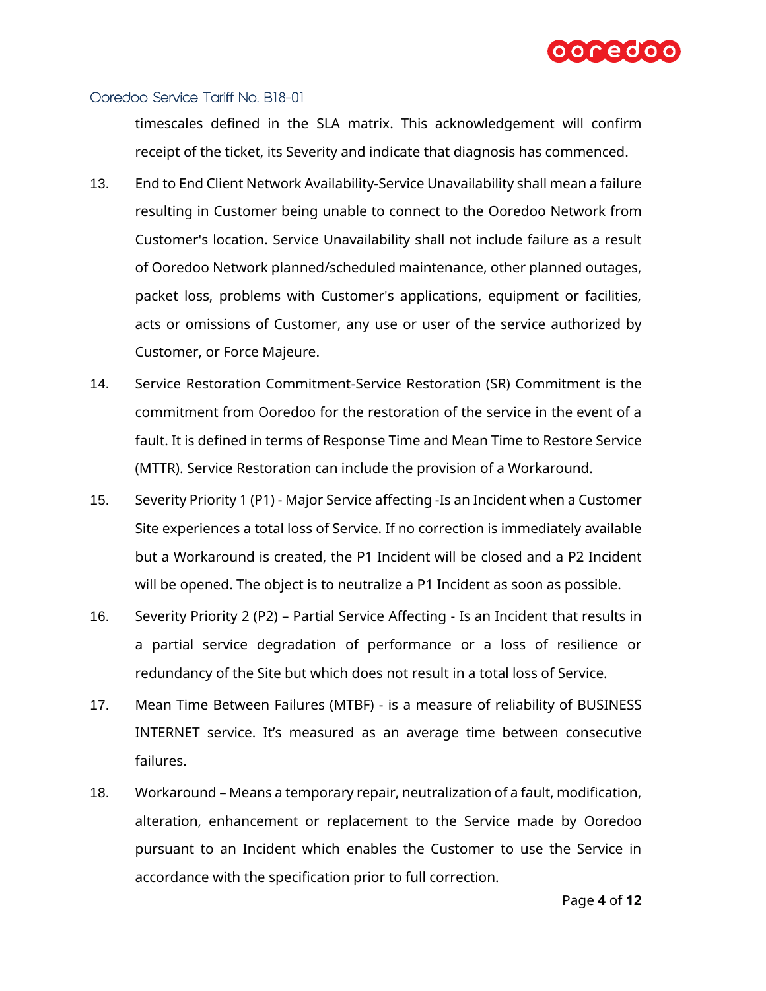

timescales defined in the SLA matrix. This acknowledgement will confirm receipt of the ticket, its Severity and indicate that diagnosis has commenced.

- 13. End to End Client Network Availability-Service Unavailability shall mean a failure resulting in Customer being unable to connect to the Ooredoo Network from Customer's location. Service Unavailability shall not include failure as a result of Ooredoo Network planned/scheduled maintenance, other planned outages, packet loss, problems with Customer's applications, equipment or facilities, acts or omissions of Customer, any use or user of the service authorized by Customer, or Force Majeure.
- 14. Service Restoration Commitment-Service Restoration (SR) Commitment is the commitment from Ooredoo for the restoration of the service in the event of a fault. It is defined in terms of Response Time and Mean Time to Restore Service (MTTR). Service Restoration can include the provision of a Workaround.
- 15. Severity Priority 1 (P1) Major Service affecting -Is an Incident when a Customer Site experiences a total loss of Service. If no correction is immediately available but a Workaround is created, the P1 Incident will be closed and a P2 Incident will be opened. The object is to neutralize a P1 Incident as soon as possible.
- 16. Severity Priority 2 (P2) Partial Service Affecting Is an Incident that results in a partial service degradation of performance or a loss of resilience or redundancy of the Site but which does not result in a total loss of Service.
- 17. Mean Time Between Failures (MTBF) is a measure of reliability of BUSINESS INTERNET service. It's measured as an average time between consecutive failures.
- 18. Workaround Means a temporary repair, neutralization of a fault, modification, alteration, enhancement or replacement to the Service made by Ooredoo pursuant to an Incident which enables the Customer to use the Service in accordance with the specification prior to full correction.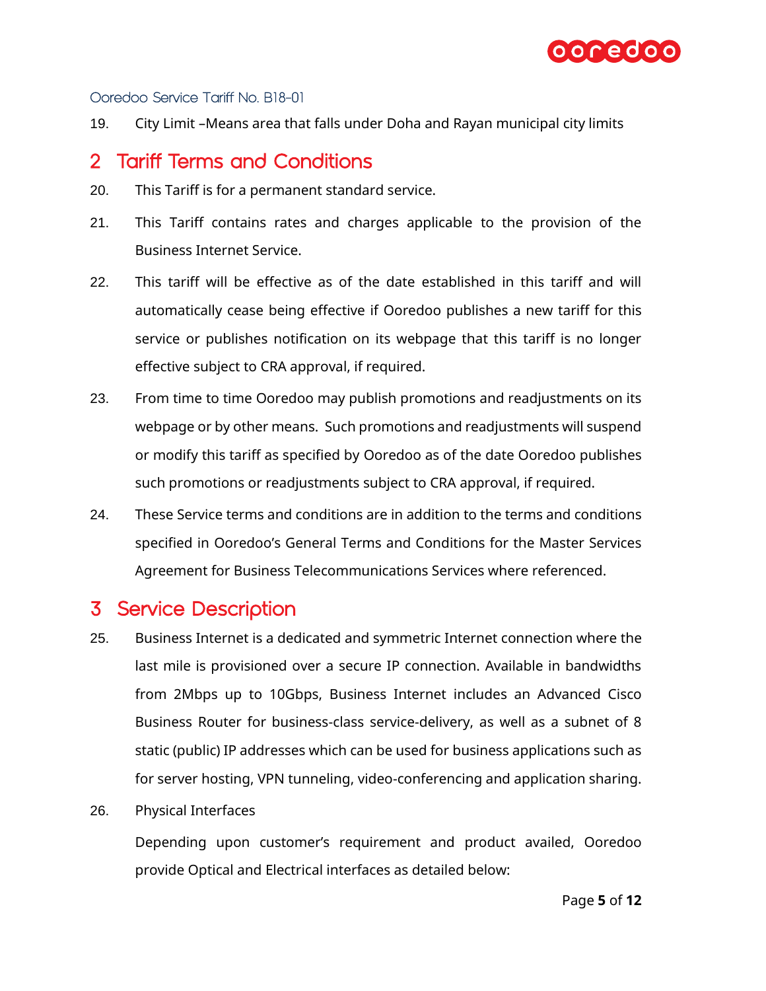

19. City Limit –Means area that falls under Doha and Rayan municipal city limits

# <span id="page-4-0"></span>2 Tariff Terms and Conditions

- 20. This Tariff is for a permanent standard service.
- 21. This Tariff contains rates and charges applicable to the provision of the Business Internet Service.
- 22. This tariff will be effective as of the date established in this tariff and will automatically cease being effective if Ooredoo publishes a new tariff for this service or publishes notification on its webpage that this tariff is no longer effective subject to CRA approval, if required.
- 23. From time to time Ooredoo may publish promotions and readjustments on its webpage or by other means. Such promotions and readjustments will suspend or modify this tariff as specified by Ooredoo as of the date Ooredoo publishes such promotions or readjustments subject to CRA approval, if required.
- 24. These Service terms and conditions are in addition to the terms and conditions specified in Ooredoo's General Terms and Conditions for the Master Services Agreement for Business Telecommunications Services where referenced.

# <span id="page-4-1"></span>3 Service Description

- 25. Business Internet is a dedicated and symmetric Internet connection where the last mile is provisioned over a secure IP connection. Available in bandwidths from 2Mbps up to 10Gbps, Business Internet includes an Advanced Cisco Business Router for business-class service-delivery, as well as a subnet of 8 static (public) IP addresses which can be used for business applications such as for server hosting, VPN tunneling, video-conferencing and application sharing.
- 26. Physical Interfaces

Depending upon customer's requirement and product availed, Ooredoo provide Optical and Electrical interfaces as detailed below: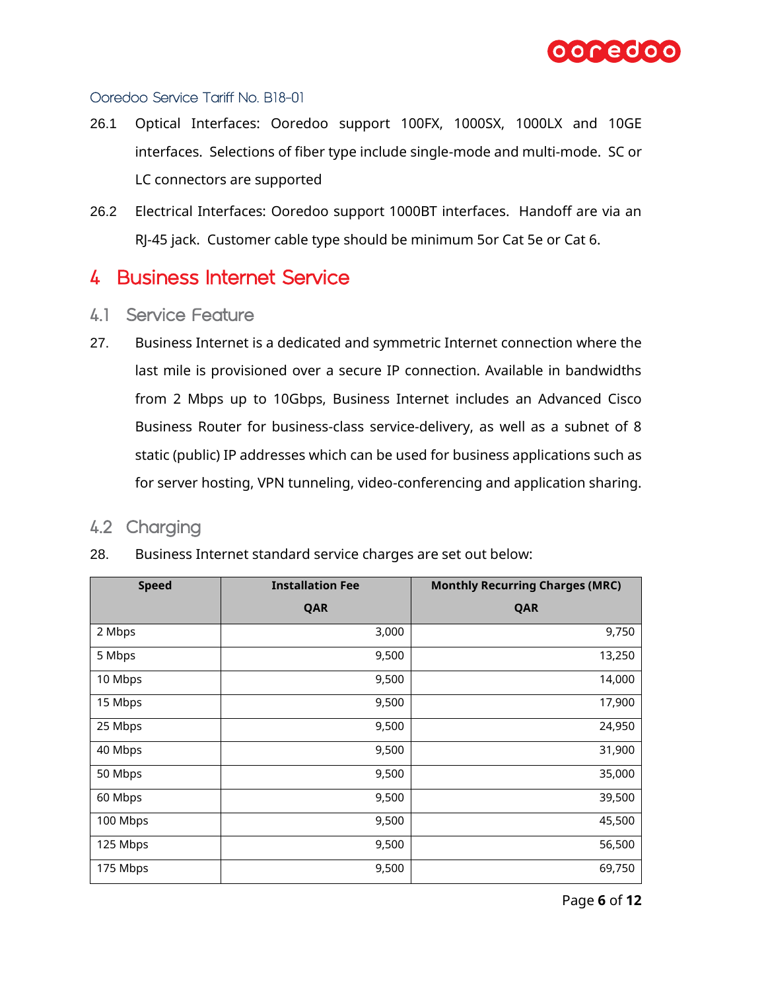

- 26.1 Optical Interfaces: Ooredoo support 100FX, 1000SX, 1000LX and 10GE interfaces. Selections of fiber type include single-mode and multi-mode. SC or LC connectors are supported
- 26.2 Electrical Interfaces: Ooredoo support 1000BT interfaces. Handoff are via an RJ-45 jack. Customer cable type should be minimum 5or Cat 5e or Cat 6.

# <span id="page-5-0"></span>4 Business Internet Service

- <span id="page-5-1"></span>4.1 Service Feature
- 27. Business Internet is a dedicated and symmetric Internet connection where the last mile is provisioned over a secure IP connection. Available in bandwidths from 2 Mbps up to 10Gbps, Business Internet includes an Advanced Cisco Business Router for business-class service-delivery, as well as a subnet of 8 static (public) IP addresses which can be used for business applications such as for server hosting, VPN tunneling, video-conferencing and application sharing.

## <span id="page-5-2"></span>4.2 Charging

| <b>Speed</b> | <b>Installation Fee</b><br><b>Monthly Recurring Charges (MRC)</b> |        |
|--------------|-------------------------------------------------------------------|--------|
|              | QAR                                                               | QAR    |
| 2 Mbps       | 3,000                                                             | 9,750  |
| 5 Mbps       | 9,500                                                             | 13,250 |
| 10 Mbps      | 9,500                                                             | 14,000 |
| 15 Mbps      | 9,500                                                             | 17,900 |
| 25 Mbps      | 9,500                                                             | 24,950 |
| 40 Mbps      | 9,500                                                             | 31,900 |
| 50 Mbps      | 9,500                                                             | 35,000 |
| 60 Mbps      | 9,500                                                             | 39,500 |
| 100 Mbps     | 9,500                                                             | 45,500 |
| 125 Mbps     | 9,500                                                             | 56,500 |
| 175 Mbps     | 9,500                                                             | 69,750 |

28. Business Internet standard service charges are set out below: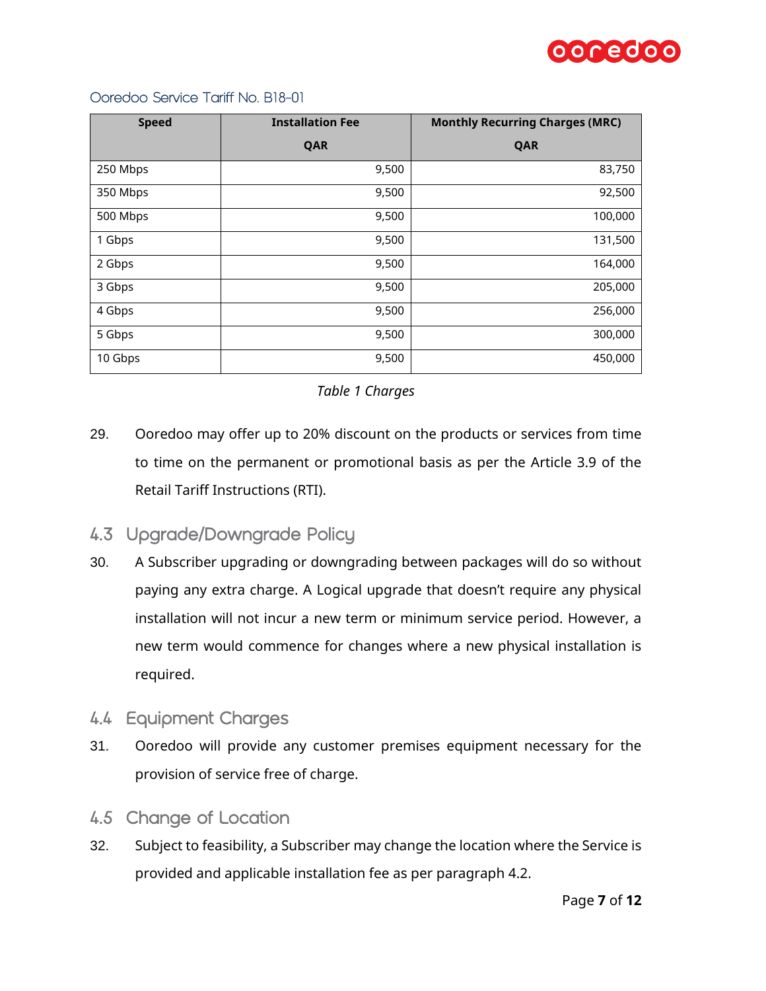

| <b>Speed</b> | <b>Installation Fee</b> | <b>Monthly Recurring Charges (MRC)</b> |  |
|--------------|-------------------------|----------------------------------------|--|
|              | QAR                     | QAR                                    |  |
| 250 Mbps     | 9,500                   | 83,750                                 |  |
| 350 Mbps     | 9,500                   | 92,500                                 |  |
| 500 Mbps     | 9,500                   | 100,000                                |  |
| 1 Gbps       | 9,500                   | 131,500                                |  |
| 2 Gbps       | 9,500                   | 164,000                                |  |
| 3 Gbps       | 9,500                   | 205,000                                |  |
| 4 Gbps       | 9,500                   | 256,000                                |  |
| 5 Gbps       | 9,500                   | 300,000                                |  |
| 10 Gbps      | 9,500                   | 450,000                                |  |

### *Table 1 Charges*

29. Ooredoo may offer up to 20% discount on the products or services from time to time on the permanent or promotional basis as per the Article 3.9 of the Retail Tariff Instructions (RTI).

## <span id="page-6-0"></span>4.3 Upgrade/Downgrade Policy

- 30. A Subscriber upgrading or downgrading between packages will do so without paying any extra charge. A Logical upgrade that doesn't require any physical installation will not incur a new term or minimum service period. However, a new term would commence for changes where a new physical installation is required.
- <span id="page-6-1"></span>4.4 Equipment Charges
- 31. Ooredoo will provide any customer premises equipment necessary for the provision of service free of charge.
- <span id="page-6-2"></span>4.5 Change of Location
- 32. Subject to feasibility, a Subscriber may change the location where the Service is provided and applicable installation fee as per paragraph [4.2.](#page-5-2)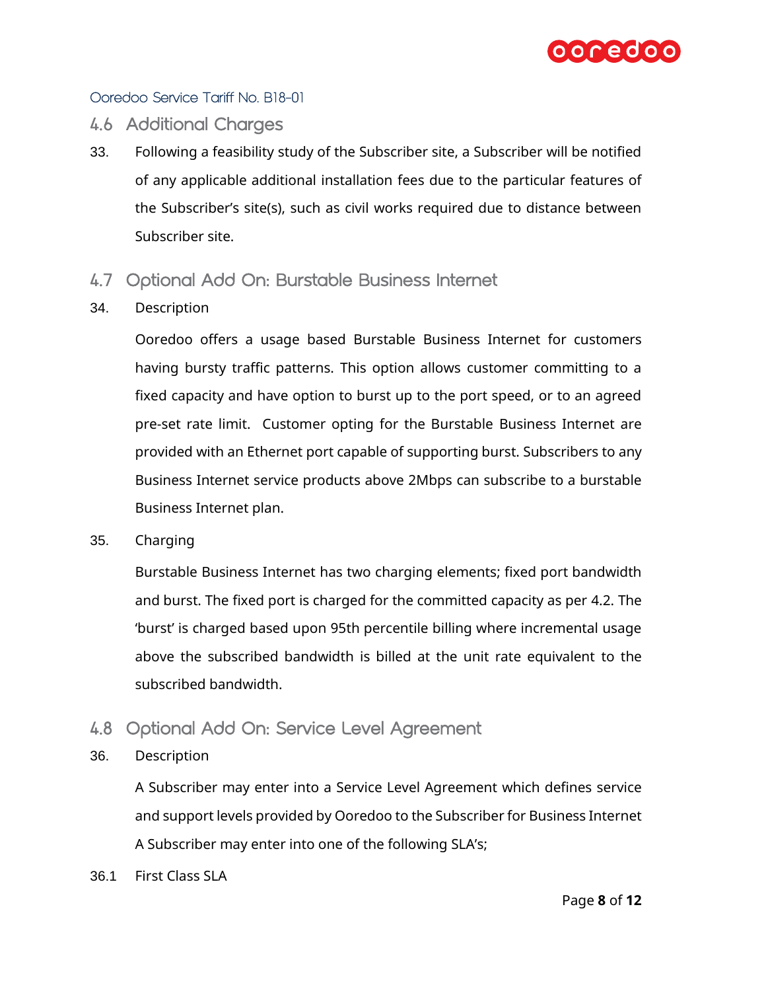

### <span id="page-7-0"></span>4.6 Additional Charges

- 33. Following a feasibility study of the Subscriber site, a Subscriber will be notified of any applicable additional installation fees due to the particular features of the Subscriber's site(s), such as civil works required due to distance between Subscriber site.
- <span id="page-7-1"></span>4.7 Optional Add On: Burstable Business Internet
- 34. Description

Ooredoo offers a usage based Burstable Business Internet for customers having bursty traffic patterns. This option allows customer committing to a fixed capacity and have option to burst up to the port speed, or to an agreed pre-set rate limit. Customer opting for the Burstable Business Internet are provided with an Ethernet port capable of supporting burst. Subscribers to any Business Internet service products above 2Mbps can subscribe to a burstable Business Internet plan.

35. Charging

Burstable Business Internet has two charging elements; fixed port bandwidth and burst. The fixed port is charged for the committed capacity as per [4.2.](#page-5-2) The 'burst' is charged based upon 95th percentile billing where incremental usage above the subscribed bandwidth is billed at the unit rate equivalent to the subscribed bandwidth.

- <span id="page-7-2"></span>4.8 Optional Add On: Service Level Agreement
- 36. Description

A Subscriber may enter into a Service Level Agreement which defines service and support levels provided by Ooredoo to the Subscriber for Business Internet A Subscriber may enter into one of the following SLA's;

36.1 First Class SLA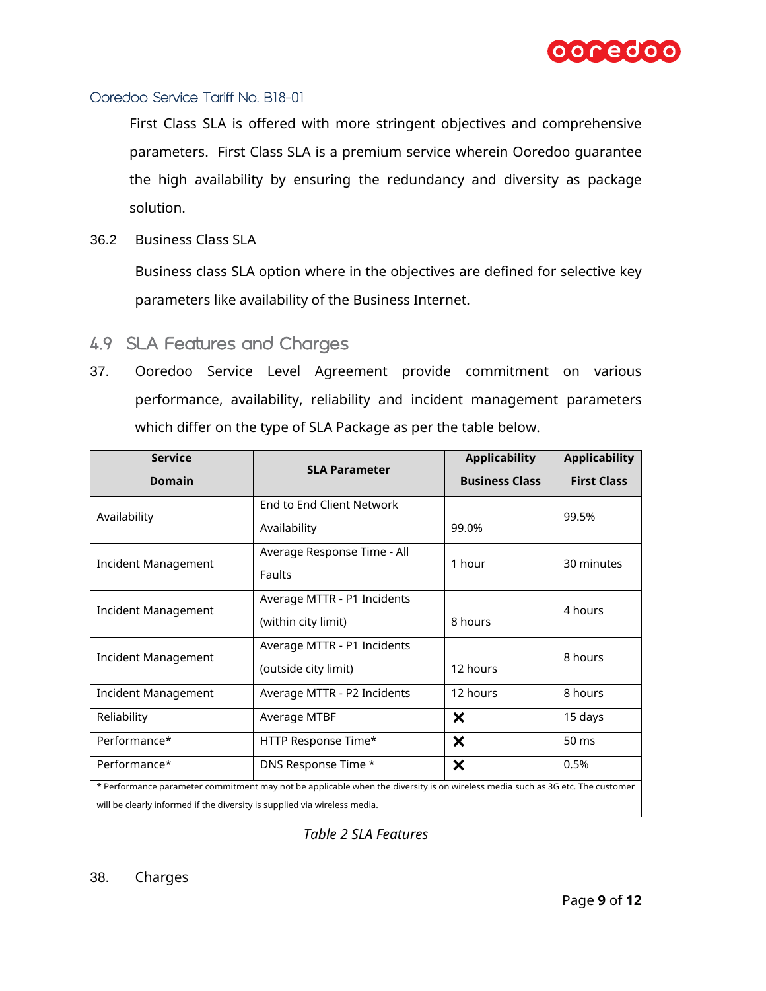

First Class SLA is offered with more stringent objectives and comprehensive parameters. First Class SLA is a premium service wherein Ooredoo guarantee the high availability by ensuring the redundancy and diversity as package solution.

36.2 Business Class SLA

Business class SLA option where in the objectives are defined for selective key parameters like availability of the Business Internet.

- <span id="page-8-0"></span>4.9 SLA Features and Charges
- 37. Ooredoo Service Level Agreement provide commitment on various performance, availability, reliability and incident management parameters which differ on the type of SLA Package as per the table below.

| <b>Service</b><br><b>Domain</b>                                                                                                                                                                           | <b>SLA Parameter</b>                                          | <b>Applicability</b><br><b>Business Class</b> | <b>Applicability</b><br><b>First Class</b> |
|-----------------------------------------------------------------------------------------------------------------------------------------------------------------------------------------------------------|---------------------------------------------------------------|-----------------------------------------------|--------------------------------------------|
| Availability                                                                                                                                                                                              | End to End Client Network<br>Availability                     | 99.0%                                         | 99.5%                                      |
| Incident Management                                                                                                                                                                                       | Average Response Time - All<br>Faults                         | 1 hour                                        | 30 minutes                                 |
| Incident Management                                                                                                                                                                                       | Average MTTR - P1 Incidents<br>(within city limit)<br>8 hours |                                               | 4 hours                                    |
| Incident Management                                                                                                                                                                                       | Average MTTR - P1 Incidents<br>(outside city limit)           | 12 hours                                      | 8 hours                                    |
| <b>Incident Management</b>                                                                                                                                                                                | Average MTTR - P2 Incidents                                   | 12 hours                                      | 8 hours                                    |
| Reliability<br>Average MTBF                                                                                                                                                                               |                                                               | $\boldsymbol{\mathsf{x}}$                     | 15 days                                    |
| Performance*                                                                                                                                                                                              | HTTP Response Time*                                           | $\boldsymbol{\mathsf{x}}$                     | 50 ms                                      |
| $\boldsymbol{\mathsf{x}}$<br>DNS Response Time *<br>Performance*<br>0.5%<br>* Performance parameter commitment may not be applicable when the diversity is on wireless media such as 3G etc. The customer |                                                               |                                               |                                            |
| will be clearly informed if the diversity is supplied via wireless media.                                                                                                                                 |                                                               |                                               |                                            |

*Table 2 SLA Features*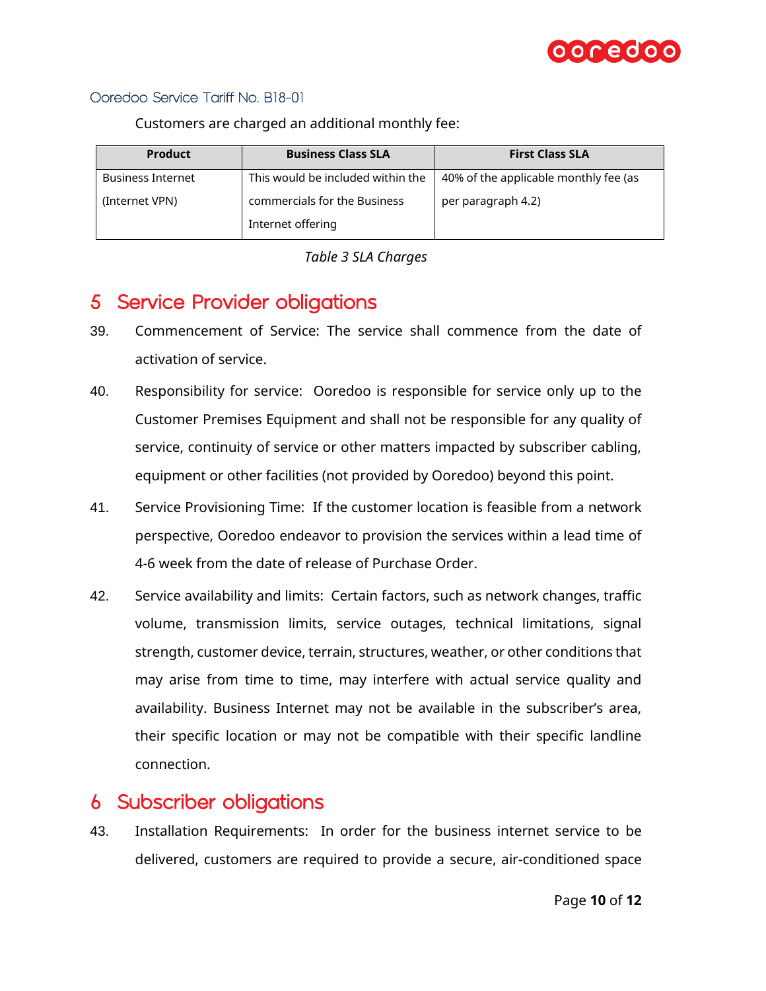

| <b>Product</b>           | <b>Business Class SLA</b>         | <b>First Class SLA</b>                |  |
|--------------------------|-----------------------------------|---------------------------------------|--|
| <b>Business Internet</b> | This would be included within the | 40% of the applicable monthly fee (as |  |
| (Internet VPN)           | commercials for the Business      | per paragraph 4.2)                    |  |
|                          | Internet offering                 |                                       |  |

Customers are charged an additional monthly fee:



# <span id="page-9-0"></span>5 Service Provider obligations

- 39. Commencement of Service: The service shall commence from the date of activation of service.
- 40. Responsibility for service: Ooredoo is responsible for service only up to the Customer Premises Equipment and shall not be responsible for any quality of service, continuity of service or other matters impacted by subscriber cabling, equipment or other facilities (not provided by Ooredoo) beyond this point.
- 41. Service Provisioning Time: If the customer location is feasible from a network perspective, Ooredoo endeavor to provision the services within a lead time of 4-6 week from the date of release of Purchase Order.
- 42. Service availability and limits: Certain factors, such as network changes, traffic volume, transmission limits, service outages, technical limitations, signal strength, customer device, terrain, structures, weather, or other conditions that may arise from time to time, may interfere with actual service quality and availability. Business Internet may not be available in the subscriber's area, their specific location or may not be compatible with their specific landline connection.

# <span id="page-9-1"></span>6 Subscriber obligations

43. Installation Requirements: In order for the business internet service to be delivered, customers are required to provide a secure, air-conditioned space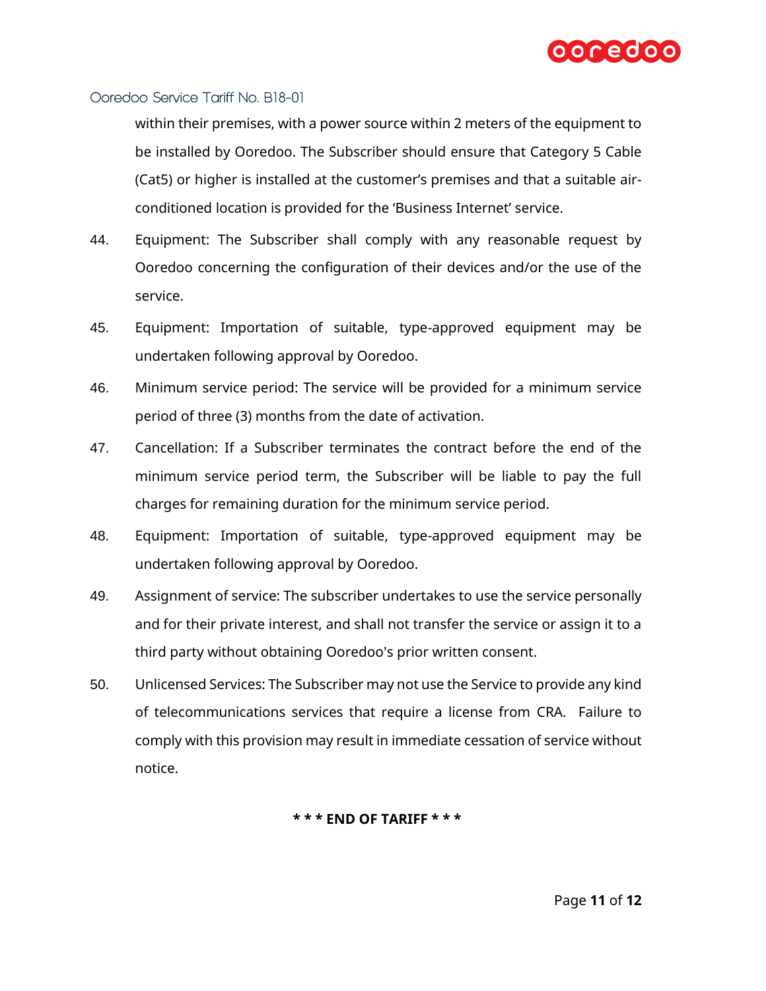

within their premises, with a power source within 2 meters of the equipment to be installed by Ooredoo. The Subscriber should ensure that Category 5 Cable (Cat5) or higher is installed at the customer's premises and that a suitable airconditioned location is provided for the 'Business Internet' service.

- 44. Equipment: The Subscriber shall comply with any reasonable request by Ooredoo concerning the configuration of their devices and/or the use of the service.
- 45. Equipment: Importation of suitable, type-approved equipment may be undertaken following approval by Ooredoo.
- 46. Minimum service period: The service will be provided for a minimum service period of three (3) months from the date of activation.
- 47. Cancellation: If a Subscriber terminates the contract before the end of the minimum service period term, the Subscriber will be liable to pay the full charges for remaining duration for the minimum service period.
- 48. Equipment: Importation of suitable, type-approved equipment may be undertaken following approval by Ooredoo.
- 49. Assignment of service: The subscriber undertakes to use the service personally and for their private interest, and shall not transfer the service or assign it to a third party without obtaining Ooredoo's prior written consent.
- 50. Unlicensed Services: The Subscriber may not use the Service to provide any kind of telecommunications services that require a license from CRA. Failure to comply with this provision may result in immediate cessation of service without notice.

#### **\* \* \* END OF TARIFF \* \* \***